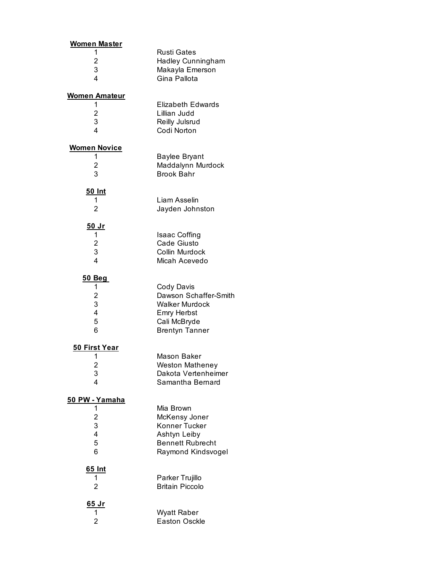| <b>Women Master</b>                    |                                                                                                                      |
|----------------------------------------|----------------------------------------------------------------------------------------------------------------------|
| 1<br>2<br>3<br>4                       | <b>Rusti Gates</b><br><b>Hadley Cunningham</b><br>Makayla Emerson<br>Gina Pallota                                    |
| <u>Women Amateur</u>                   |                                                                                                                      |
| 1<br>2<br>3<br>4                       | <b>Elizabeth Edwards</b><br>Lillian Judd<br>Reilly Julsrud<br>Codi Norton                                            |
| <b>Women Novice</b>                    |                                                                                                                      |
| 1<br>$\overline{\mathbf{c}}$<br>3      | <b>Baylee Bryant</b><br>Maddalynn Murdock<br><b>Brook Bahr</b>                                                       |
| <u>50 Int</u><br>1<br>2                | Liam Asselin<br>Jayden Johnston                                                                                      |
| <u>50 Jr</u>                           |                                                                                                                      |
| 1<br>$\overline{\mathbf{c}}$<br>3<br>4 | <b>Isaac Coffing</b><br>Cade Giusto<br>Collin Murdock<br>Micah Acevedo                                               |
| <u>50 Beg</u>                          |                                                                                                                      |
| 1<br>2<br>3<br>4<br>5<br>6             | Cody Davis<br>Dawson Schaffer-Smith<br><b>Walker Murdock</b><br>Emry Herbst<br>Cali McBryde<br><b>Brentyn Tanner</b> |
| <u>50 First Year</u>                   |                                                                                                                      |
| 1<br>$\overline{\mathbf{c}}$<br>3<br>4 | Mason Baker<br><b>Weston Matheney</b><br>Dakota Vertenheimer<br>Samantha Bernard                                     |
| <u>50 PW - Yamaha</u>                  |                                                                                                                      |
| 1<br>2<br>3<br>4<br>5<br>6             | Mia Brown<br>McKensy Joner<br>Konner Tucker<br>Ashtyn Leiby<br><b>Bennett Rubrecht</b><br>Raymond Kindsvogel         |
| <u>65 Int</u><br>1<br>2                | Parker Trujillo<br><b>Britain Piccolo</b>                                                                            |
| <u>65 Jr</u><br>1<br>2                 | <b>Wyatt Raber</b><br><b>Easton Osckle</b>                                                                           |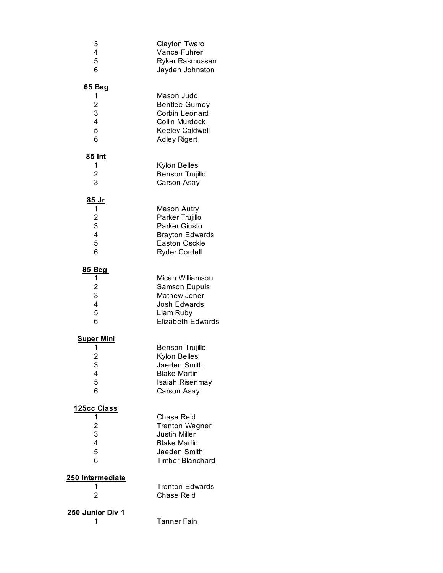| 3                                               | Clayton Twaro                                                                                            |
|-------------------------------------------------|----------------------------------------------------------------------------------------------------------|
| $\overline{\mathbf{4}}$                         | Vance Fuhrer                                                                                             |
| 5                                               | Ryker Rasmussen                                                                                          |
| 6                                               | Jayden Johnston                                                                                          |
| <u>65 Beg</u>                                   | Mason Judd                                                                                               |
| 1                                               | <b>Bentlee Gurney</b>                                                                                    |
| $\frac{2}{3}$                                   | Corbin Leonard                                                                                           |
| 4                                               | Collin Murdock                                                                                           |
| 5                                               | Keeley Caldwell                                                                                          |
| 6                                               | <b>Adley Rigert</b>                                                                                      |
| 85 Int                                          | Kylon Belles                                                                                             |
| 1                                               | <b>Benson Trujillo</b>                                                                                   |
| $\frac{2}{3}$                                   | Carson Asay                                                                                              |
| <u>85 Jr</u>                                    | <b>Mason Autry</b>                                                                                       |
| $\mathbf{1}$                                    | Parker Trujillo                                                                                          |
| $\frac{2}{3}$                                   | <b>Parker Giusto</b>                                                                                     |
| $\overline{\mathbf{4}}$                         | <b>Brayton Edwards</b>                                                                                   |
| 5                                               | <b>Easton Osckle</b>                                                                                     |
| 6                                               | <b>Ryder Cordell</b>                                                                                     |
| <u>85 Beg</u>                                   | Micah Williamson                                                                                         |
| 1                                               | <b>Samson Dupuis</b>                                                                                     |
| $\frac{2}{3}$                                   | Mathew Joner                                                                                             |
| $\overline{\mathbf{4}}$                         | Josh Edwards                                                                                             |
| 5                                               | Liam Ruby                                                                                                |
| 6                                               | <b>Elizabeth Edwards</b>                                                                                 |
| <u>Super Mini</u><br>1<br>2<br>3<br>4<br>5<br>6 | Benson Trujillo<br>Kylon Belles<br>Jaeden Smith<br><b>Blake Martin</b><br>Isaiah Risenmay<br>Carson Asay |
| 125cc Class                                     | Chase Reid                                                                                               |
| 1                                               | <b>Trenton Wagner</b>                                                                                    |
| 2<br>3                                          | <b>Justin Miller</b>                                                                                     |
| $\overline{\mathbf{4}}$                         | <b>Blake Martin</b>                                                                                      |
| 5                                               | Jaeden Smith                                                                                             |
| 6                                               | <b>Timber Blanchard</b>                                                                                  |
| 250 Intermediate<br>1<br>2                      | <b>Trenton Edwards</b><br><b>Chase Reid</b>                                                              |
| <b>250 Junior Div 1</b><br>1                    | Tanner Fain                                                                                              |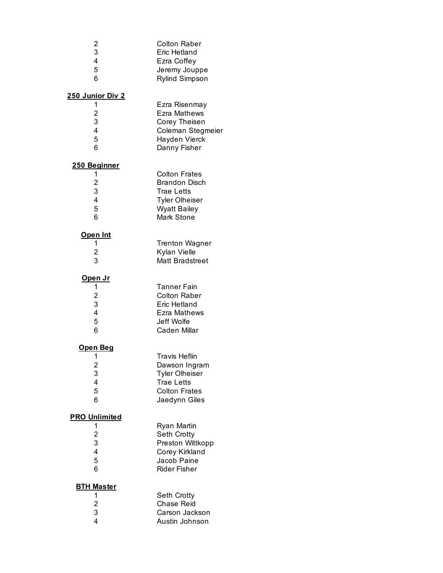| 2<br>3<br>4<br>5<br>6                            | <b>Colton Raber</b><br>Eric Hetland<br>Ezra Coffey<br>Jeremy Jouppe<br>Rylind Simpson                                                  |
|--------------------------------------------------|----------------------------------------------------------------------------------------------------------------------------------------|
| 250 Junior Div 2                                 |                                                                                                                                        |
| 1<br>$\overline{\mathbf{c}}$<br>3<br>4<br>5<br>6 | Ezra Risenmay<br>Ezra Mathews<br>Corey Theisen<br>Coleman Stegmeier<br>Hayden Vierck<br>Danny Fisher                                   |
| 250 Beginner                                     |                                                                                                                                        |
| 1<br>$\overline{c}$<br>3<br>4<br>5<br>6          | <b>Colton Frates</b><br><b>Brandon Disch</b><br><b>Trae Letts</b><br><b>Tyler Olheiser</b><br><b>Wyatt Bailey</b><br><b>Mark Stone</b> |
| <u>Open Int</u>                                  |                                                                                                                                        |
| 1                                                | <b>Trenton Wagner</b>                                                                                                                  |
| $\overline{\mathbf{c}}$                          | Kylan Vielle                                                                                                                           |
| 3                                                | <b>Matt Bradstreet</b>                                                                                                                 |
| <u>Open Jr</u>                                   |                                                                                                                                        |
| 1                                                | <b>Tanner Fain</b>                                                                                                                     |
| $\overline{c}$                                   | <b>Colton Raber</b>                                                                                                                    |
| 3                                                | Eric Hetland                                                                                                                           |
| 4<br>5                                           | Ezra Mathews<br>Jeff Wolfe                                                                                                             |
| 6                                                | Caden Millar                                                                                                                           |
|                                                  |                                                                                                                                        |
| <u>Open Beg</u>                                  |                                                                                                                                        |
| 1                                                | <b>Travis Heflin</b>                                                                                                                   |
| $\overline{c}$<br>3                              | Dawson Ingram<br><b>Tyler Olheiser</b>                                                                                                 |
| 4                                                | <b>Trae Letts</b>                                                                                                                      |
| 5                                                | <b>Colton Frates</b>                                                                                                                   |
| 6                                                | Jaedynn Giles                                                                                                                          |
| <b>PRO Unlimited</b>                             |                                                                                                                                        |
| 1                                                | Ryan Martin                                                                                                                            |
| $\overline{\mathbf{c}}$                          | Seth Crotty                                                                                                                            |
| 3                                                | Preston Wittkopp                                                                                                                       |
| 4                                                | Corey Kirkland                                                                                                                         |
| 5                                                | Jacob Paine                                                                                                                            |
| 6                                                | <b>Rider Fisher</b>                                                                                                                    |
| <b>BTH Master</b>                                |                                                                                                                                        |
| 1                                                | Seth Crotty                                                                                                                            |
| $\overline{\mathbf{c}}$                          | <b>Chase Reid</b>                                                                                                                      |
| 3<br>4                                           | Carson Jackson                                                                                                                         |
|                                                  | Austin Johnson                                                                                                                         |